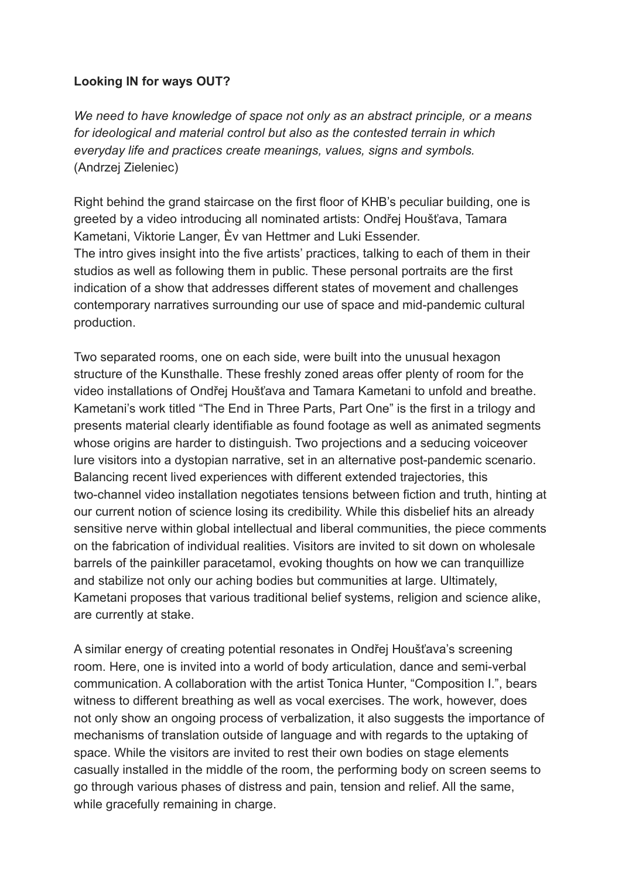## **Looking IN for ways OUT?**

*We need to have knowledge of space not only as an abstract principle, or a means for ideological and material control but also as the contested terrain in which everyday life and practices create meanings, values, signs and symbols.* (Andrzej Zieleniec)

Right behind the grand staircase on the first floor of KHB's peculiar building, one is greeted by a video introducing all nominated artists: Ondřej Houšťava, Tamara Kametani, Viktorie Langer, Èv van Hettmer and Luki Essender. The intro gives insight into the five artists' practices, talking to each of them in their studios as well as following them in public. These personal portraits are the first indication of a show that addresses different states of movement and challenges contemporary narratives surrounding our use of space and mid-pandemic cultural production.

Two separated rooms, one on each side, were built into the unusual hexagon structure of the Kunsthalle. These freshly zoned areas offer plenty of room for the video installations of Ondřej Houšťava and Tamara Kametani to unfold and breathe. Kametani's work titled "The End in Three Parts, Part One" is the first in a trilogy and presents material clearly identifiable as found footage as well as animated segments whose origins are harder to distinguish. Two projections and a seducing voiceover lure visitors into a dystopian narrative, set in an alternative post-pandemic scenario. Balancing recent lived experiences with different extended trajectories, this two-channel video installation negotiates tensions between fiction and truth, hinting at our current notion of science losing its credibility. While this disbelief hits an already sensitive nerve within global intellectual and liberal communities, the piece comments on the fabrication of individual realities. Visitors are invited to sit down on wholesale barrels of the painkiller paracetamol, evoking thoughts on how we can tranquillize and stabilize not only our aching bodies but communities at large. Ultimately, Kametani proposes that various traditional belief systems, religion and science alike, are currently at stake.

A similar energy of creating potential resonates in Ondřej Houšťava's screening room. Here, one is invited into a world of body articulation, dance and semi-verbal communication. A collaboration with the artist Tonica Hunter, "Composition I.", bears witness to different breathing as well as vocal exercises. The work, however, does not only show an ongoing process of verbalization, it also suggests the importance of mechanisms of translation outside of language and with regards to the uptaking of space. While the visitors are invited to rest their own bodies on stage elements casually installed in the middle of the room, the performing body on screen seems to go through various phases of distress and pain, tension and relief. All the same, while gracefully remaining in charge.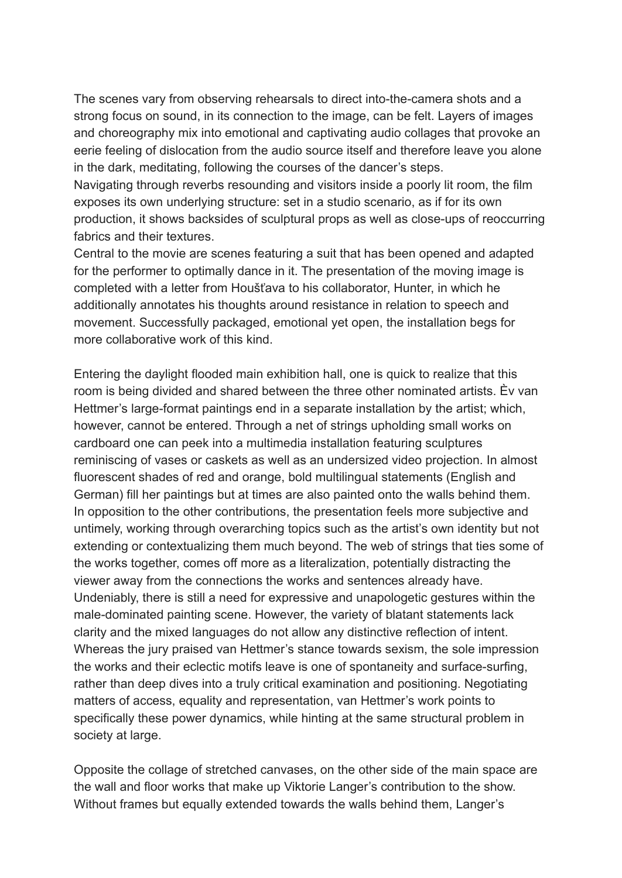The scenes vary from observing rehearsals to direct into-the-camera shots and a strong focus on sound, in its connection to the image, can be felt. Layers of images and choreography mix into emotional and captivating audio collages that provoke an eerie feeling of dislocation from the audio source itself and therefore leave you alone in the dark, meditating, following the courses of the dancer's steps.

Navigating through reverbs resounding and visitors inside a poorly lit room, the film exposes its own underlying structure: set in a studio scenario, as if for its own production, it shows backsides of sculptural props as well as close-ups of reoccurring fabrics and their textures.

Central to the movie are scenes featuring a suit that has been opened and adapted for the performer to optimally dance in it. The presentation of the moving image is completed with a letter from Houšťava to his collaborator, Hunter, in which he additionally annotates his thoughts around resistance in relation to speech and movement. Successfully packaged, emotional yet open, the installation begs for more collaborative work of this kind.

Entering the daylight flooded main exhibition hall, one is quick to realize that this room is being divided and shared between the three other nominated artists. Èv van Hettmer's large-format paintings end in a separate installation by the artist; which, however, cannot be entered. Through a net of strings upholding small works on cardboard one can peek into a multimedia installation featuring sculptures reminiscing of vases or caskets as well as an undersized video projection. In almost fluorescent shades of red and orange, bold multilingual statements (English and German) fill her paintings but at times are also painted onto the walls behind them. In opposition to the other contributions, the presentation feels more subjective and untimely, working through overarching topics such as the artist's own identity but not extending or contextualizing them much beyond. The web of strings that ties some of the works together, comes off more as a literalization, potentially distracting the viewer away from the connections the works and sentences already have. Undeniably, there is still a need for expressive and unapologetic gestures within the male-dominated painting scene. However, the variety of blatant statements lack clarity and the mixed languages do not allow any distinctive reflection of intent. Whereas the jury praised van Hettmer's stance towards sexism, the sole impression the works and their eclectic motifs leave is one of spontaneity and surface-surfing, rather than deep dives into a truly critical examination and positioning. Negotiating matters of access, equality and representation, van Hettmer's work points to specifically these power dynamics, while hinting at the same structural problem in society at large.

Opposite the collage of stretched canvases, on the other side of the main space are the wall and floor works that make up Viktorie Langer's contribution to the show. Without frames but equally extended towards the walls behind them, Langer's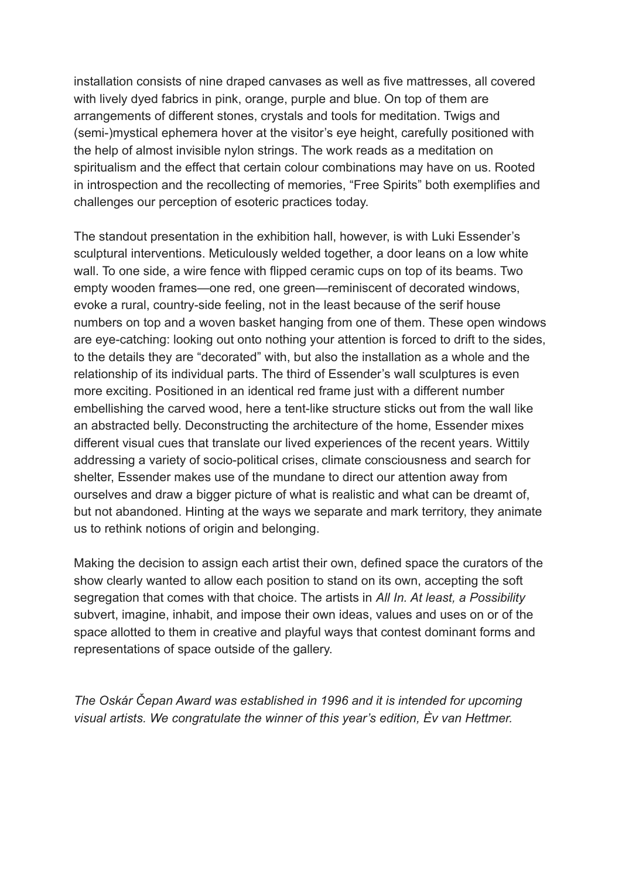installation consists of nine draped canvases as well as five mattresses, all covered with lively dyed fabrics in pink, orange, purple and blue. On top of them are arrangements of different stones, crystals and tools for meditation. Twigs and (semi-)mystical ephemera hover at the visitor's eye height, carefully positioned with the help of almost invisible nylon strings. The work reads as a meditation on spiritualism and the effect that certain colour combinations may have on us. Rooted in introspection and the recollecting of memories, "Free Spirits" both exemplifies and challenges our perception of esoteric practices today.

The standout presentation in the exhibition hall, however, is with Luki Essender's sculptural interventions. Meticulously welded together, a door leans on a low white wall. To one side, a wire fence with flipped ceramic cups on top of its beams. Two empty wooden frames—one red, one green—reminiscent of decorated windows, evoke a rural, country-side feeling, not in the least because of the serif house numbers on top and a woven basket hanging from one of them. These open windows are eye-catching: looking out onto nothing your attention is forced to drift to the sides, to the details they are "decorated" with, but also the installation as a whole and the relationship of its individual parts. The third of Essender's wall sculptures is even more exciting. Positioned in an identical red frame just with a different number embellishing the carved wood, here a tent-like structure sticks out from the wall like an abstracted belly. Deconstructing the architecture of the home, Essender mixes different visual cues that translate our lived experiences of the recent years. Wittily addressing a variety of socio-political crises, climate consciousness and search for shelter, Essender makes use of the mundane to direct our attention away from ourselves and draw a bigger picture of what is realistic and what can be dreamt of, but not abandoned. Hinting at the ways we separate and mark territory, they animate us to rethink notions of origin and belonging.

Making the decision to assign each artist their own, defined space the curators of the show clearly wanted to allow each position to stand on its own, accepting the soft segregation that comes with that choice. The artists in *All In. At least, a Possibility* subvert, imagine, inhabit, and impose their own ideas, values and uses on or of the space allotted to them in creative and playful ways that contest dominant forms and representations of space outside of the gallery.

*The Oskár Čepan Award was established in 1996 and it is intended for upcoming visual artists. We congratulate the winner of this year's edition, Èv van Hettmer.*